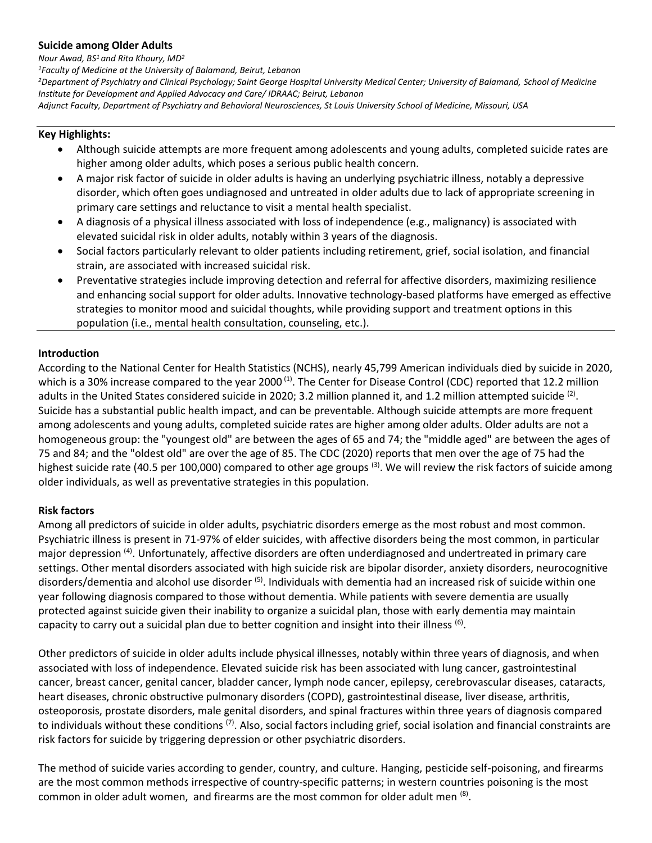#### **Suicide among Older Adults**

*Nour Awad, BS<sup>1</sup> and Rita Khoury, MD<sup>2</sup>*

*<sup>1</sup>Faculty of Medicine at the University of Balamand, Beirut, Lebanon*

*<sup>2</sup>Department of Psychiatry and Clinical Psychology; Saint George Hospital University Medical Center; University of Balamand, School of Medicine Institute for Development and Applied Advocacy and Care/ IDRAAC; Beirut, Lebanon* 

*Adjunct Faculty, Department of Psychiatry and Behavioral Neurosciences, St Louis University School of Medicine, Missouri, USA*

# **Key Highlights:**

- Although suicide attempts are more frequent among adolescents and young adults, completed suicide rates are higher among older adults, which poses a serious public health concern.
- A major risk factor of suicide in older adults is having an underlying psychiatric illness, notably a depressive disorder, which often goes undiagnosed and untreated in older adults due to lack of appropriate screening in primary care settings and reluctance to visit a mental health specialist.
- A diagnosis of a physical illness associated with loss of independence (e.g., malignancy) is associated with elevated suicidal risk in older adults, notably within 3 years of the diagnosis.
- Social factors particularly relevant to older patients including retirement, grief, social isolation, and financial strain, are associated with increased suicidal risk.
- Preventative strategies include improving detection and referral for affective disorders, maximizing resilience and enhancing social support for older adults. Innovative technology-based platforms have emerged as effective strategies to monitor mood and suicidal thoughts, while providing support and treatment options in this population (i.e., mental health consultation, counseling, etc.).

## **Introduction**

According to the National Center for Health Statistics (NCHS), nearly 45,799 American individuals died by suicide in 2020, which is a 30% increase compared to the year 2000<sup>(1)</sup>. The Center for Disease Control (CDC) reported that 12.2 million adults in the United States considered suicide in 2020; 3.2 million planned it, and 1.2 million attempted suicide <sup>(2)</sup>. Suicide has a substantial public health impact, and can be preventable. Although suicide attempts are more frequent among adolescents and young adults, completed suicide rates are higher among older adults. Older adults are not a homogeneous group: the "youngest old" are between the ages of 65 and 74; the "middle aged" are between the ages of 75 and 84; and the "oldest old" are over the age of 85. The CDC (2020) reports that men over the age of 75 had the highest suicide rate (40.5 per 100,000) compared to other age groups<sup>(3)</sup>. We will review the risk factors of suicide among older individuals, as well as preventative strategies in this population.

### **Risk factors**

Among all predictors of suicide in older adults, psychiatric disorders emerge as the most robust and most common. Psychiatric illness is present in 71-97% of elder suicides, with affective disorders being the most common, in particular major depression <sup>(4)</sup>. Unfortunately, affective disorders are often underdiagnosed and undertreated in primary care settings. Other mental disorders associated with high suicide risk are bipolar disorder, anxiety disorders, neurocognitive disorders/dementia and alcohol use disorder <sup>(5)</sup>. Individuals with dementia had an increased risk of suicide within one year following diagnosis compared to those without dementia. While patients with severe dementia are usually protected against suicide given their inability to organize a suicidal plan, those with early dementia may maintain capacity to carry out a suicidal plan due to better cognition and insight into their illness  $^{(6)}$ .

Other predictors of suicide in older adults include physical illnesses, notably within three years of diagnosis, and when associated with loss of independence. Elevated suicide risk has been associated with lung cancer, gastrointestinal cancer, breast cancer, genital cancer, bladder cancer, lymph node cancer, epilepsy, cerebrovascular diseases, cataracts, heart diseases, chronic obstructive pulmonary disorders (COPD), gastrointestinal disease, liver disease, arthritis, osteoporosis, prostate disorders, male genital disorders, and spinal fractures within three years of diagnosis compared to individuals without these conditions <sup>(7)</sup>. Also, social factors including grief, social isolation and financial constraints are risk factors for suicide by triggering depression or other psychiatric disorders.

The method of suicide varies according to gender, country, and culture. Hanging, pesticide self-poisoning, and firearms are the most common methods irrespective of country-specific patterns; in western countries poisoning is the most common in older adult women, and firearms are the most common for older adult men  $^{(8)}$ .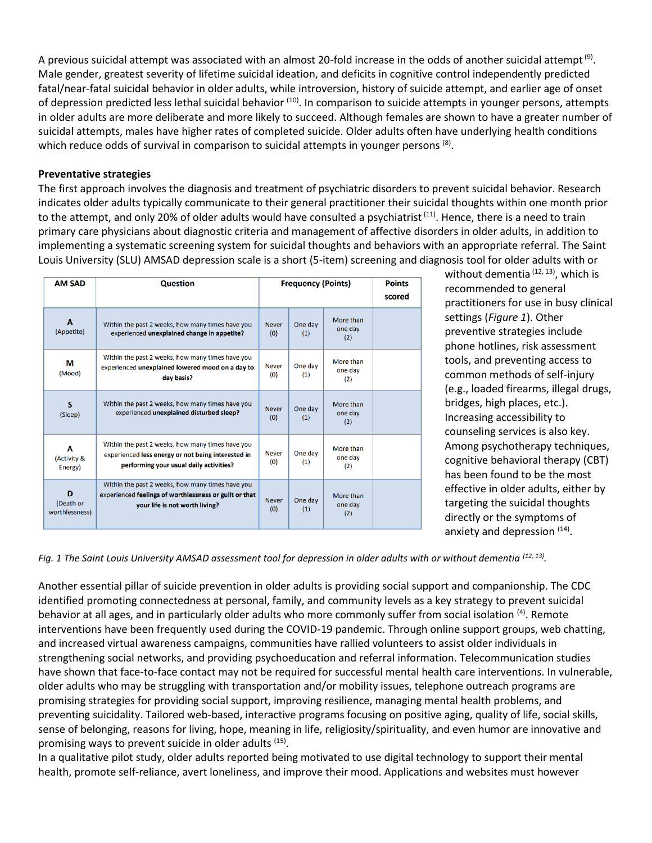A previous suicidal attempt was associated with an almost 20-fold increase in the odds of another suicidal attempt  $^{(9)}$ . Male gender, greatest severity of lifetime suicidal ideation, and deficits in cognitive control independently predicted fatal/near-fatal suicidal behavior in older adults, while introversion, history of suicide attempt, and earlier age of onset of depression predicted less lethal suicidal behavior <sup>(10)</sup>. In comparison to suicide attempts in younger persons, attempts in older adults are more deliberate and more likely to succeed. Although females are shown to have a greater number of suicidal attempts, males have higher rates of completed suicide. Older adults often have underlying health conditions which reduce odds of survival in comparison to suicidal attempts in younger persons <sup>(8)</sup>.

#### **Preventative strategies**

The first approach involves the diagnosis and treatment of psychiatric disorders to prevent suicidal behavior. Research indicates older adults typically communicate to their general practitioner their suicidal thoughts within one month prior to the attempt, and only 20% of older adults would have consulted a psychiatrist<sup>(11)</sup>. Hence, there is a need to train primary care physicians about diagnostic criteria and management of affective disorders in older adults, in addition to implementing a systematic screening system for suicidal thoughts and behaviors with an appropriate referral. The Saint Louis University (SLU) AMSAD depression scale is a short (5-item) screening and diagnosis tool for older adults with or

| <b>AM SAD</b>                    | <b>Question</b>                                                                                                                                   | <b>Frequency (Points)</b> |                |                             | <b>Points</b><br>scored |
|----------------------------------|---------------------------------------------------------------------------------------------------------------------------------------------------|---------------------------|----------------|-----------------------------|-------------------------|
| A<br>(Appetite)                  | Within the past 2 weeks, how many times have you<br>experienced unexplained change in appetite?                                                   | <b>Never</b><br>(0)       | One day<br>(1) | More than<br>one day<br>(2) |                         |
| М<br>(Mood)                      | Within the past 2 weeks, how many times have you<br>experienced unexplained lowered mood on a day to<br>day basis?                                | <b>Never</b><br>(0)       | One day<br>(1) | More than<br>one day<br>(2) |                         |
| s<br>(Sleep)                     | Within the past 2 weeks, how many times have you<br>experienced unexplained disturbed sleep?                                                      | <b>Never</b><br>(0)       | One day<br>(1) | More than<br>one day<br>(2) |                         |
| A<br>(Activity &<br>Energy)      | Within the past 2 weeks, how many times have you<br>experienced less energy or not being interested in<br>performing your usual daily activities? | <b>Never</b><br>(0)       | One day<br>(1) | More than<br>one day<br>(2) |                         |
| D<br>(Death or<br>worthlessness) | Within the past 2 weeks, how many times have you<br>experienced feelings of worthlessness or guilt or that<br>your life is not worth living?      | <b>Never</b><br>(0)       | One day<br>(1) | More than<br>one day<br>(2) |                         |

without dementia  $(12, 13)$ , which is recommended to general practitioners for use in busy clinical settings (*Figure 1*). Other preventive strategies include phone hotlines, risk assessment tools, and preventing access to common methods of self-injury (e.g., loaded firearms, illegal drugs, bridges, high places, etc.). Increasing accessibility to counseling services is also key. Among psychotherapy techniques, cognitive behavioral therapy (CBT) has been found to be the most effective in older adults, either by targeting the suicidal thoughts directly or the symptoms of anxiety and depression <sup>(14)</sup>.

Fig. 1 The Saint Louis University AMSAD assessment tool for depression in older adults with or without dementia <sup>(12, 13)</sup>.

Another essential pillar of suicide prevention in older adults is providing social support and companionship. The CDC identified promoting connectedness at personal, family, and community levels as a key strategy to prevent suicidal behavior at all ages, and in particularly older adults who more commonly suffer from social isolation <sup>(4)</sup>. Remote interventions have been frequently used during the COVID-19 pandemic. Through online support groups, web chatting, and increased virtual awareness campaigns, communities have rallied volunteers to assist older individuals in strengthening social networks, and providing psychoeducation and referral information. Telecommunication studies have shown that face-to-face contact may not be required for successful mental health care interventions. In vulnerable, older adults who may be struggling with transportation and/or mobility issues, telephone outreach programs are promising strategies for providing social support, improving resilience, managing mental health problems, and preventing suicidality. Tailored web-based, interactive programs focusing on positive aging, quality of life, social skills, sense of belonging, reasons for living, hope, meaning in life, religiosity/spirituality, and even humor are innovative and promising ways to prevent suicide in older adults <sup>(15)</sup>.

In a qualitative pilot study, older adults reported being motivated to use digital technology to support their mental health, promote self-reliance, avert loneliness, and improve their mood. Applications and websites must however